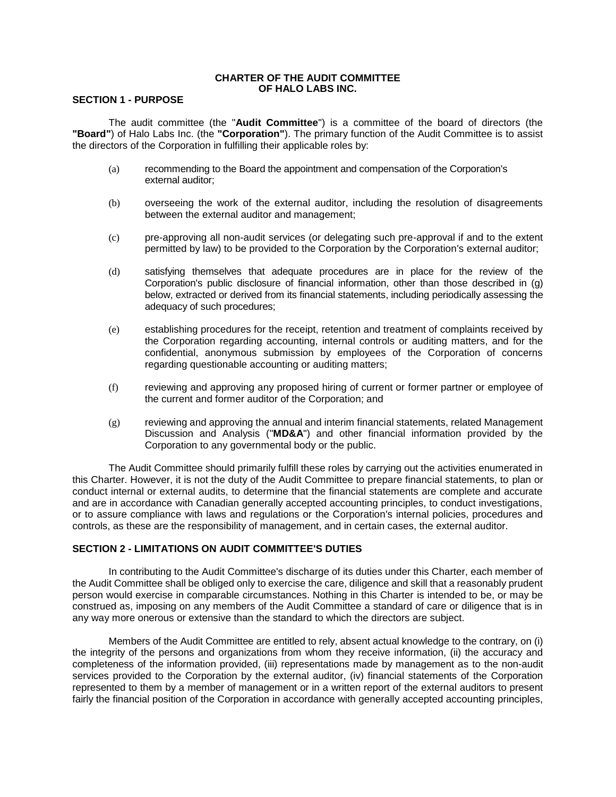### **CHARTER OF THE AUDIT COMMITTEE OF HALO LABS INC.**

# **SECTION 1 - PURPOSE**

The audit committee (the "**Audit Committee**") is a committee of the board of directors (the **"Board"**) of Halo Labs Inc. (the **"Corporation"**). The primary function of the Audit Committee is to assist the directors of the Corporation in fulfilling their applicable roles by:

- (a) recommending to the Board the appointment and compensation of the Corporation's external auditor;
- (b) overseeing the work of the external auditor, including the resolution of disagreements between the external auditor and management;
- (c) pre-approving all non-audit services (or delegating such pre-approval if and to the extent permitted by law) to be provided to the Corporation by the Corporation's external auditor;
- (d) satisfying themselves that adequate procedures are in place for the review of the Corporation's public disclosure of financial information, other than those described in (g) below, extracted or derived from its financial statements, including periodically assessing the adequacy of such procedures;
- (e) establishing procedures for the receipt, retention and treatment of complaints received by the Corporation regarding accounting, internal controls or auditing matters, and for the confidential, anonymous submission by employees of the Corporation of concerns regarding questionable accounting or auditing matters;
- (f) reviewing and approving any proposed hiring of current or former partner or employee of the current and former auditor of the Corporation; and
- (g) reviewing and approving the annual and interim financial statements, related Management Discussion and Analysis ("**MD&A**") and other financial information provided by the Corporation to any governmental body or the public.

The Audit Committee should primarily fulfill these roles by carrying out the activities enumerated in this Charter. However, it is not the duty of the Audit Committee to prepare financial statements, to plan or conduct internal or external audits, to determine that the financial statements are complete and accurate and are in accordance with Canadian generally accepted accounting principles, to conduct investigations, or to assure compliance with laws and regulations or the Corporation's internal policies, procedures and controls, as these are the responsibility of management, and in certain cases, the external auditor.

# **SECTION 2 - LIMITATIONS ON AUDIT COMMITTEE'S DUTIES**

In contributing to the Audit Committee's discharge of its duties under this Charter, each member of the Audit Committee shall be obliged only to exercise the care, diligence and skill that a reasonably prudent person would exercise in comparable circumstances. Nothing in this Charter is intended to be, or may be construed as, imposing on any members of the Audit Committee a standard of care or diligence that is in any way more onerous or extensive than the standard to which the directors are subject.

Members of the Audit Committee are entitled to rely, absent actual knowledge to the contrary, on (i) the integrity of the persons and organizations from whom they receive information, (ii) the accuracy and completeness of the information provided, (iii) representations made by management as to the non-audit services provided to the Corporation by the external auditor, (iv) financial statements of the Corporation represented to them by a member of management or in a written report of the external auditors to present fairly the financial position of the Corporation in accordance with generally accepted accounting principles,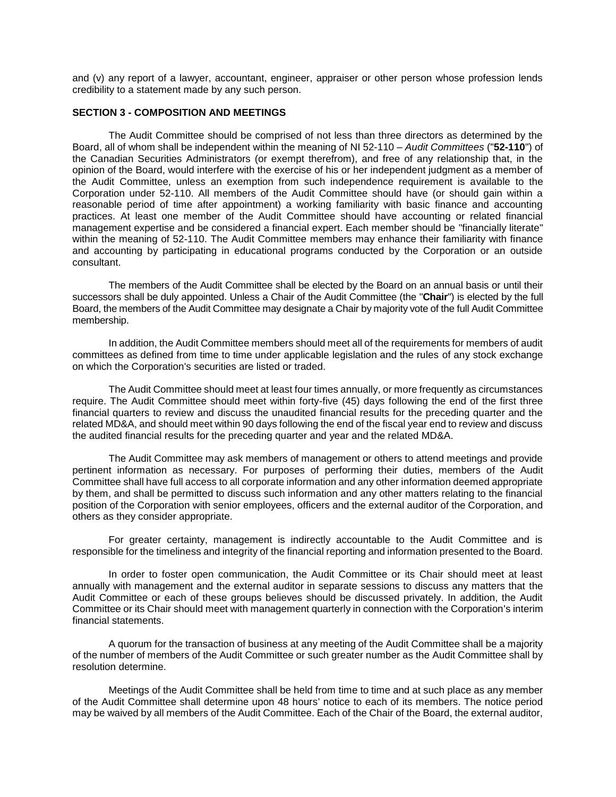and (v) any report of a lawyer, accountant, engineer, appraiser or other person whose profession lends credibility to a statement made by any such person.

# **SECTION 3 - COMPOSITION AND MEETINGS**

The Audit Committee should be comprised of not less than three directors as determined by the Board, all of whom shall be independent within the meaning of NI 52-110 – *Audit Committees* ("**52-110**") of the Canadian Securities Administrators (or exempt therefrom), and free of any relationship that, in the opinion of the Board, would interfere with the exercise of his or her independent judgment as a member of the Audit Committee, unless an exemption from such independence requirement is available to the Corporation under 52-110. All members of the Audit Committee should have (or should gain within a reasonable period of time after appointment) a working familiarity with basic finance and accounting practices. At least one member of the Audit Committee should have accounting or related financial management expertise and be considered a financial expert. Each member should be "financially literate" within the meaning of 52-110. The Audit Committee members may enhance their familiarity with finance and accounting by participating in educational programs conducted by the Corporation or an outside consultant.

The members of the Audit Committee shall be elected by the Board on an annual basis or until their successors shall be duly appointed. Unless a Chair of the Audit Committee (the "**Chair**") is elected by the full Board, the members of the Audit Committee may designate a Chair by majority vote of the full Audit Committee membership.

In addition, the Audit Committee members should meet all of the requirements for members of audit committees as defined from time to time under applicable legislation and the rules of any stock exchange on which the Corporation's securities are listed or traded.

The Audit Committee should meet at least four times annually, or more frequently as circumstances require. The Audit Committee should meet within forty-five (45) days following the end of the first three financial quarters to review and discuss the unaudited financial results for the preceding quarter and the related MD&A, and should meet within 90 days following the end of the fiscal year end to review and discuss the audited financial results for the preceding quarter and year and the related MD&A.

The Audit Committee may ask members of management or others to attend meetings and provide pertinent information as necessary. For purposes of performing their duties, members of the Audit Committee shall have full access to all corporate information and any other information deemed appropriate by them, and shall be permitted to discuss such information and any other matters relating to the financial position of the Corporation with senior employees, officers and the external auditor of the Corporation, and others as they consider appropriate.

For greater certainty, management is indirectly accountable to the Audit Committee and is responsible for the timeliness and integrity of the financial reporting and information presented to the Board.

In order to foster open communication, the Audit Committee or its Chair should meet at least annually with management and the external auditor in separate sessions to discuss any matters that the Audit Committee or each of these groups believes should be discussed privately. In addition, the Audit Committee or its Chair should meet with management quarterly in connection with the Corporation's interim financial statements.

A quorum for the transaction of business at any meeting of the Audit Committee shall be a majority of the number of members of the Audit Committee or such greater number as the Audit Committee shall by resolution determine.

Meetings of the Audit Committee shall be held from time to time and at such place as any member of the Audit Committee shall determine upon 48 hours' notice to each of its members. The notice period may be waived by all members of the Audit Committee. Each of the Chair of the Board, the external auditor,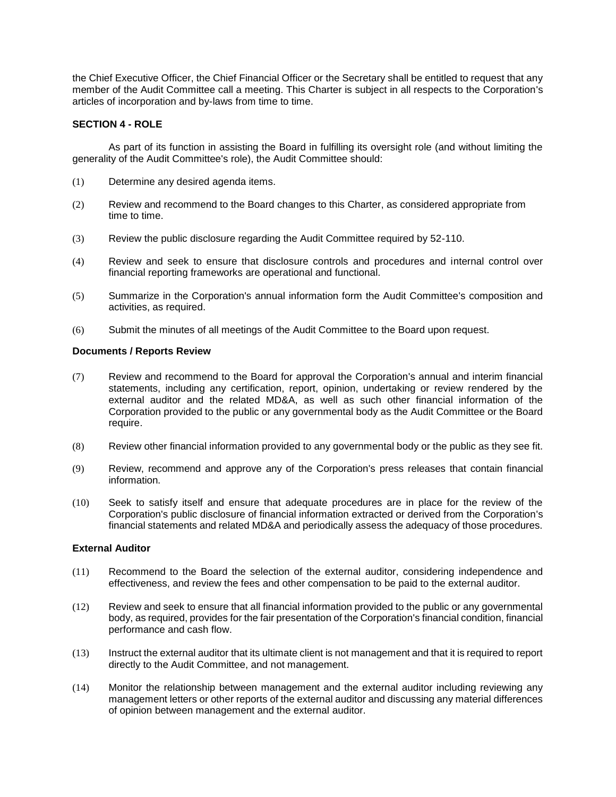the Chief Executive Officer, the Chief Financial Officer or the Secretary shall be entitled to request that any member of the Audit Committee call a meeting. This Charter is subject in all respects to the Corporation's articles of incorporation and by-laws from time to time.

# **SECTION 4 - ROLE**

As part of its function in assisting the Board in fulfilling its oversight role (and without limiting the generality of the Audit Committee's role), the Audit Committee should:

- (1) Determine any desired agenda items.
- (2) Review and recommend to the Board changes to this Charter, as considered appropriate from time to time.
- (3) Review the public disclosure regarding the Audit Committee required by 52-110.
- (4) Review and seek to ensure that disclosure controls and procedures and internal control over financial reporting frameworks are operational and functional.
- (5) Summarize in the Corporation's annual information form the Audit Committee's composition and activities, as required.
- (6) Submit the minutes of all meetings of the Audit Committee to the Board upon request.

## **Documents / Reports Review**

- (7) Review and recommend to the Board for approval the Corporation's annual and interim financial statements, including any certification, report, opinion, undertaking or review rendered by the external auditor and the related MD&A, as well as such other financial information of the Corporation provided to the public or any governmental body as the Audit Committee or the Board require.
- (8) Review other financial information provided to any governmental body or the public as they see fit.
- (9) Review, recommend and approve any of the Corporation's press releases that contain financial information.
- (10) Seek to satisfy itself and ensure that adequate procedures are in place for the review of the Corporation's public disclosure of financial information extracted or derived from the Corporation's financial statements and related MD&A and periodically assess the adequacy of those procedures.

# **External Auditor**

- (11) Recommend to the Board the selection of the external auditor, considering independence and effectiveness, and review the fees and other compensation to be paid to the external auditor.
- (12) Review and seek to ensure that all financial information provided to the public or any governmental body, as required, provides for the fair presentation of the Corporation's financial condition, financial performance and cash flow.
- (13) Instruct the external auditor that its ultimate client is not management and that it is required to report directly to the Audit Committee, and not management.
- (14) Monitor the relationship between management and the external auditor including reviewing any management letters or other reports of the external auditor and discussing any material differences of opinion between management and the external auditor.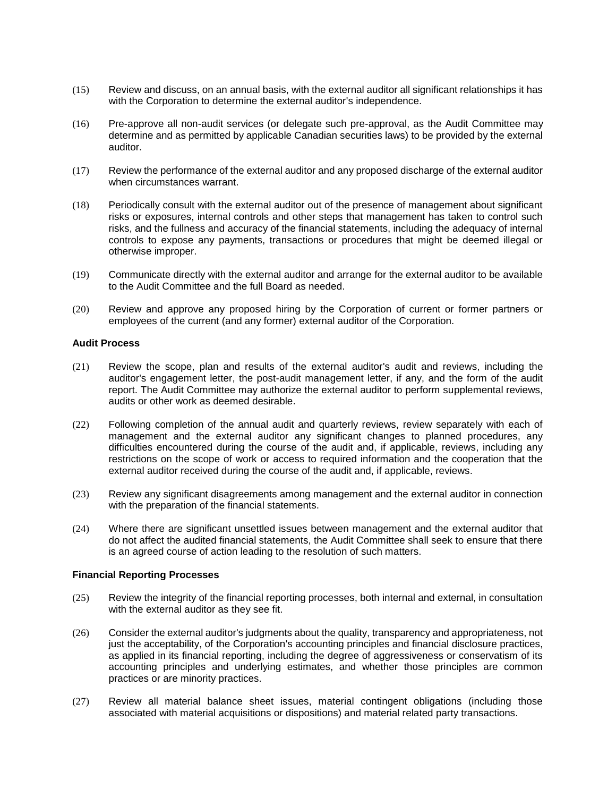- (15) Review and discuss, on an annual basis, with the external auditor all significant relationships it has with the Corporation to determine the external auditor's independence.
- (16) Pre-approve all non-audit services (or delegate such pre-approval, as the Audit Committee may determine and as permitted by applicable Canadian securities laws) to be provided by the external auditor.
- (17) Review the performance of the external auditor and any proposed discharge of the external auditor when circumstances warrant.
- (18) Periodically consult with the external auditor out of the presence of management about significant risks or exposures, internal controls and other steps that management has taken to control such risks, and the fullness and accuracy of the financial statements, including the adequacy of internal controls to expose any payments, transactions or procedures that might be deemed illegal or otherwise improper.
- (19) Communicate directly with the external auditor and arrange for the external auditor to be available to the Audit Committee and the full Board as needed.
- (20) Review and approve any proposed hiring by the Corporation of current or former partners or employees of the current (and any former) external auditor of the Corporation.

#### **Audit Process**

- (21) Review the scope, plan and results of the external auditor's audit and reviews, including the auditor's engagement letter, the post-audit management letter, if any, and the form of the audit report. The Audit Committee may authorize the external auditor to perform supplemental reviews, audits or other work as deemed desirable.
- (22) Following completion of the annual audit and quarterly reviews, review separately with each of management and the external auditor any significant changes to planned procedures, any difficulties encountered during the course of the audit and, if applicable, reviews, including any restrictions on the scope of work or access to required information and the cooperation that the external auditor received during the course of the audit and, if applicable, reviews.
- (23) Review any significant disagreements among management and the external auditor in connection with the preparation of the financial statements.
- (24) Where there are significant unsettled issues between management and the external auditor that do not affect the audited financial statements, the Audit Committee shall seek to ensure that there is an agreed course of action leading to the resolution of such matters.

#### **Financial Reporting Processes**

- (25) Review the integrity of the financial reporting processes, both internal and external, in consultation with the external auditor as they see fit.
- (26) Consider the external auditor's judgments about the quality, transparency and appropriateness, not just the acceptability, of the Corporation's accounting principles and financial disclosure practices, as applied in its financial reporting, including the degree of aggressiveness or conservatism of its accounting principles and underlying estimates, and whether those principles are common practices or are minority practices.
- (27) Review all material balance sheet issues, material contingent obligations (including those associated with material acquisitions or dispositions) and material related party transactions.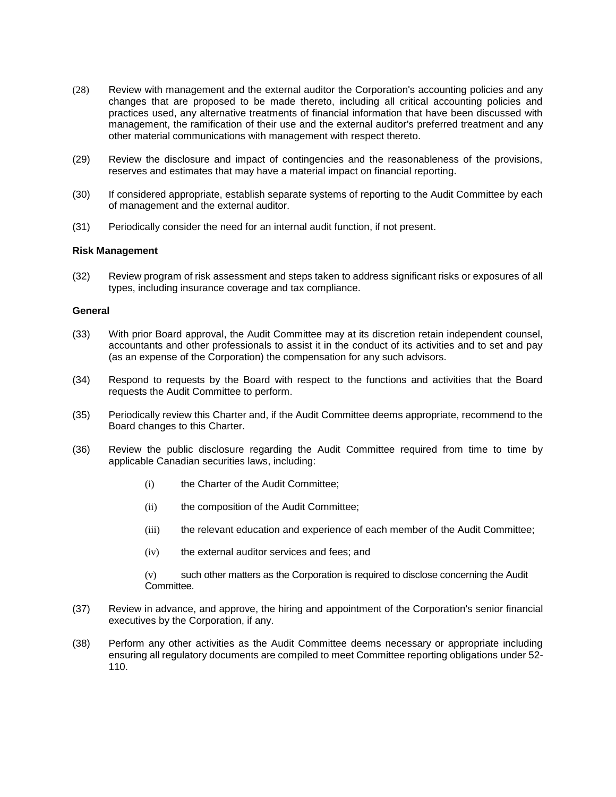- (28) Review with management and the external auditor the Corporation's accounting policies and any changes that are proposed to be made thereto, including all critical accounting policies and practices used, any alternative treatments of financial information that have been discussed with management, the ramification of their use and the external auditor's preferred treatment and any other material communications with management with respect thereto.
- (29) Review the disclosure and impact of contingencies and the reasonableness of the provisions, reserves and estimates that may have a material impact on financial reporting.
- (30) If considered appropriate, establish separate systems of reporting to the Audit Committee by each of management and the external auditor.
- (31) Periodically consider the need for an internal audit function, if not present.

### **Risk Management**

(32) Review program of risk assessment and steps taken to address significant risks or exposures of all types, including insurance coverage and tax compliance.

#### **General**

- (33) With prior Board approval, the Audit Committee may at its discretion retain independent counsel, accountants and other professionals to assist it in the conduct of its activities and to set and pay (as an expense of the Corporation) the compensation for any such advisors.
- (34) Respond to requests by the Board with respect to the functions and activities that the Board requests the Audit Committee to perform.
- (35) Periodically review this Charter and, if the Audit Committee deems appropriate, recommend to the Board changes to this Charter.
- (36) Review the public disclosure regarding the Audit Committee required from time to time by applicable Canadian securities laws, including:
	- (i) the Charter of the Audit Committee;
	- (ii) the composition of the Audit Committee;
	- (iii) the relevant education and experience of each member of the Audit Committee;
	- (iv) the external auditor services and fees; and

(v) such other matters as the Corporation is required to disclose concerning the Audit Committee.

- (37) Review in advance, and approve, the hiring and appointment of the Corporation's senior financial executives by the Corporation, if any.
- (38) Perform any other activities as the Audit Committee deems necessary or appropriate including ensuring all regulatory documents are compiled to meet Committee reporting obligations under 52- 110.